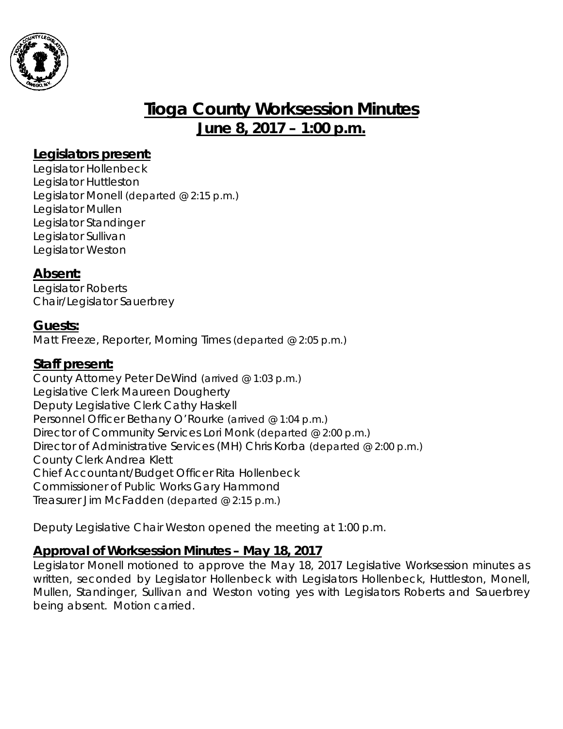

# **Tioga County Worksession Minutes June 8, 2017 – 1:00 p.m.**

### **Legislators present:**

Legislator Hollenbeck Legislator Huttleston Legislator Monell *(departed @ 2:15 p.m.)* Legislator Mullen Legislator Standinger Legislator Sullivan Legislator Weston

#### **Absent:**

Legislator Roberts Chair/Legislator Sauerbrey

#### **Guests:**

Matt Freeze, Reporter, Morning Times *(departed @ 2:05 p.m.)*

#### **Staff present:**

County Attorney Peter DeWind *(arrived @ 1:03 p.m.)* Legislative Clerk Maureen Dougherty Deputy Legislative Clerk Cathy Haskell Personnel Officer Bethany O'Rourke *(arrived @ 1:04 p.m.)* Director of Community Services Lori Monk *(departed @ 2:00 p.m.)* Director of Administrative Services (MH) Chris Korba *(departed @ 2:00 p.m.)* County Clerk Andrea Klett Chief Accountant/Budget Officer Rita Hollenbeck Commissioner of Public Works Gary Hammond Treasurer Jim McFadden *(departed @ 2:15 p.m.)*

Deputy Legislative Chair Weston opened the meeting at 1:00 p.m.

## **Approval of Worksession Minutes – May 18, 2017**

Legislator Monell motioned to approve the May 18, 2017 Legislative Worksession minutes as written, seconded by Legislator Hollenbeck with Legislators Hollenbeck, Huttleston, Monell, Mullen, Standinger, Sullivan and Weston voting yes with Legislators Roberts and Sauerbrey being absent. Motion carried.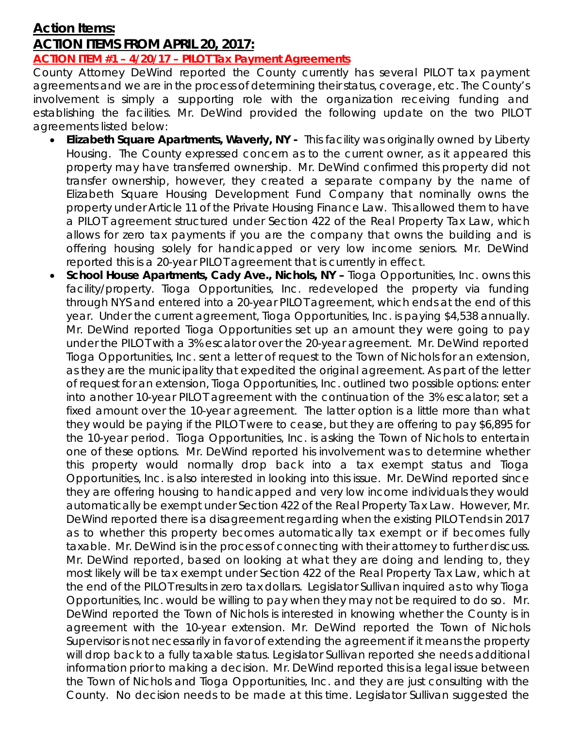## **Action Items: ACTION ITEMS FROM APRIL 20, 2017:**

#### **ACTION ITEM #1 – 4/20/17 – PILOT Tax Payment Agreements**

County Attorney DeWind reported the County currently has several PILOT tax payment agreements and we are in the process of determining their status, coverage, etc. The County's involvement is simply a supporting role with the organization receiving funding and establishing the facilities. Mr. DeWind provided the following update on the two PILOT agreements listed below:

- *Elizabeth Square Apartments, Waverly, NY -* This facility was originally owned by Liberty Housing. The County expressed concern as to the current owner, as it appeared this property may have transferred ownership. Mr. DeWind confirmed this property did not transfer ownership, however, they created a separate company by the name of Elizabeth Square Housing Development Fund Company that nominally owns the property under Article 11 of the Private Housing Finance Law. This allowed them to have a PILOT agreement structured under Section 422 of the Real Property Tax Law, which allows for zero tax payments if you are the company that owns the building and is offering housing solely for handicapped or very low income seniors. Mr. DeWind reported this is a 20-year PILOT agreement that is currently in effect.
- *School House Apartments, Cady Ave., Nichols, NY –* Tioga Opportunities, Inc. owns this facility/property. Tioga Opportunities, Inc. redeveloped the property via funding through NYS and entered into a 20-year PILOT agreement, which ends at the end of this year. Under the current agreement, Tioga Opportunities, Inc. is paying \$4,538 annually. Mr. DeWind reported Tioga Opportunities set up an amount they were going to pay under the PILOT with a 3% escalator over the 20-year agreement. Mr. DeWind reported Tioga Opportunities, Inc. sent a letter of request to the Town of Nichols for an extension, as they are the municipality that expedited the original agreement. As part of the letter of request for an extension, Tioga Opportunities, Inc. outlined two possible options: enter into another 10-year PILOT agreement with the continuation of the 3% escalator; set a fixed amount over the 10-year agreement. The latter option is a little more than what they would be paying if the PILOT were to cease, but they are offering to pay \$6,895 for the 10-year period. Tioga Opportunities, Inc. is asking the Town of Nichols to entertain one of these options. Mr. DeWind reported his involvement was to determine whether this property would normally drop back into a tax exempt status and Tioga Opportunities, Inc. is also interested in looking into this issue. Mr. DeWind reported since they are offering housing to handicapped and very low income individuals they would automatically be exempt under Section 422 of the Real Property Tax Law. However, Mr. DeWind reported there is a disagreement regarding when the existing PILOT ends in 2017 as to whether this property becomes automatically tax exempt or if becomes fully taxable. Mr. DeWind is in the process of connecting with their attorney to further discuss. Mr. DeWind reported, based on looking at what they are doing and lending to, they most likely will be tax exempt under Section 422 of the Real Property Tax Law, which at the end of the PILOT results in zero tax dollars. Legislator Sullivan inquired as to why Tioga Opportunities, Inc. would be willing to pay when they may not be required to do so. Mr. DeWind reported the Town of Nichols is interested in knowing whether the County is in agreement with the 10-year extension. Mr. DeWind reported the Town of Nichols Supervisor is not necessarily in favor of extending the agreement if it means the property will drop back to a fully taxable status. Legislator Sullivan reported she needs additional information prior to making a decision. Mr. DeWind reported this is a legal issue between the Town of Nichols and Tioga Opportunities, Inc. and they are just consulting with the County. No decision needs to be made at this time. Legislator Sullivan suggested the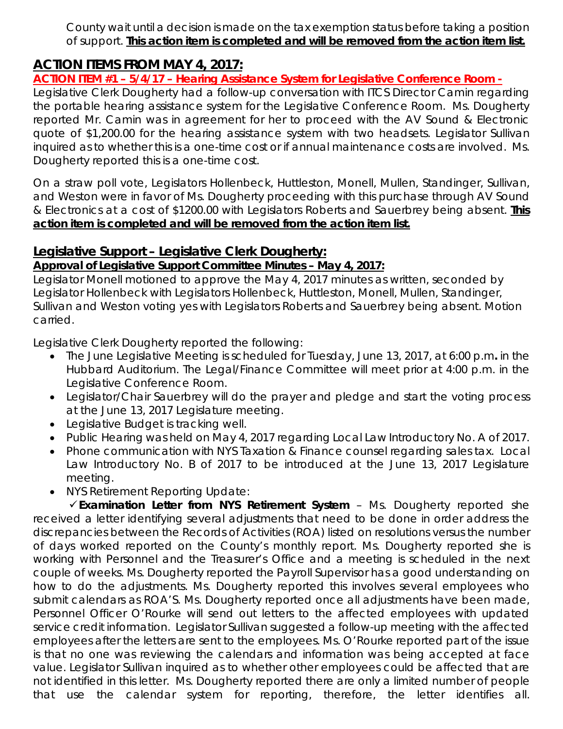County wait until a decision is made on the tax exemption status before taking a position of support. **This action item is completed and will be removed from the action item list.** 

## **ACTION ITEMS FROM MAY 4, 2017:**

#### **ACTION ITEM #1 – 5/4/17 – Hearing Assistance System for Legislative Conference Room -**

Legislative Clerk Dougherty had a follow-up conversation with ITCS Director Camin regarding the portable hearing assistance system for the Legislative Conference Room. Ms. Dougherty reported Mr. Camin was in agreement for her to proceed with the AV Sound & Electronic quote of \$1,200.00 for the hearing assistance system with two headsets. Legislator Sullivan inquired as to whether this is a one-time cost or if annual maintenance costs are involved. Ms. Dougherty reported this is a one-time cost.

On a straw poll vote, Legislators Hollenbeck, Huttleston, Monell, Mullen, Standinger, Sullivan, and Weston were in favor of Ms. Dougherty proceeding with this purchase through AV Sound & Electronics at a cost of \$1200.00 with Legislators Roberts and Sauerbrey being absent. **This action item is completed and will be removed from the action item list.** 

#### **Legislative Support – Legislative Clerk Dougherty:**

#### *Approval of Legislative Support Committee Minutes – May 4, 2017:*

Legislator Monell motioned to approve the May 4, 2017 minutes as written, seconded by Legislator Hollenbeck with Legislators Hollenbeck, Huttleston, Monell, Mullen, Standinger, Sullivan and Weston voting yes with Legislators Roberts and Sauerbrey being absent. Motion carried.

Legislative Clerk Dougherty reported the following:

- The June Legislative Meeting is scheduled for Tuesday, June 13, 2017, at 6:00 p.m*.* in the Hubbard Auditorium. The Legal/Finance Committee will meet prior at 4:00 p.m. in the Legislative Conference Room.
- Legislator/Chair Sauerbrey will do the prayer and pledge and start the voting process at the June 13, 2017 Legislature meeting.
- Legislative Budget is tracking well.
- Public Hearing was held on May 4, 2017 regarding Local Law Introductory No. A of 2017.
- Phone communication with NYS Taxation & Finance counsel regarding sales tax. Local Law Introductory No. B of 2017 to be introduced at the June 13, 2017 Legislature meeting.
- NYS Retirement Reporting Update:

*Examination Letter from NYS Retirement System* – Ms. Dougherty reported she received a letter identifying several adjustments that need to be done in order address the discrepancies between the Records of Activities (ROA) listed on resolutions versus the number of days worked reported on the County's monthly report. Ms. Dougherty reported she is working with Personnel and the Treasurer's Office and a meeting is scheduled in the next couple of weeks. Ms. Dougherty reported the Payroll Supervisor has a good understanding on how to do the adjustments. Ms. Dougherty reported this involves several employees who submit calendars as ROA'S. Ms. Dougherty reported once all adjustments have been made, Personnel Officer O'Rourke will send out letters to the affected employees with updated service credit information. Legislator Sullivan suggested a follow-up meeting with the affected employees after the letters are sent to the employees. Ms. O'Rourke reported part of the issue is that no one was reviewing the calendars and information was being accepted at face value. Legislator Sullivan inquired as to whether other employees could be affected that are not identified in this letter. Ms. Dougherty reported there are only a limited number of people that use the calendar system for reporting, therefore, the letter identifies all.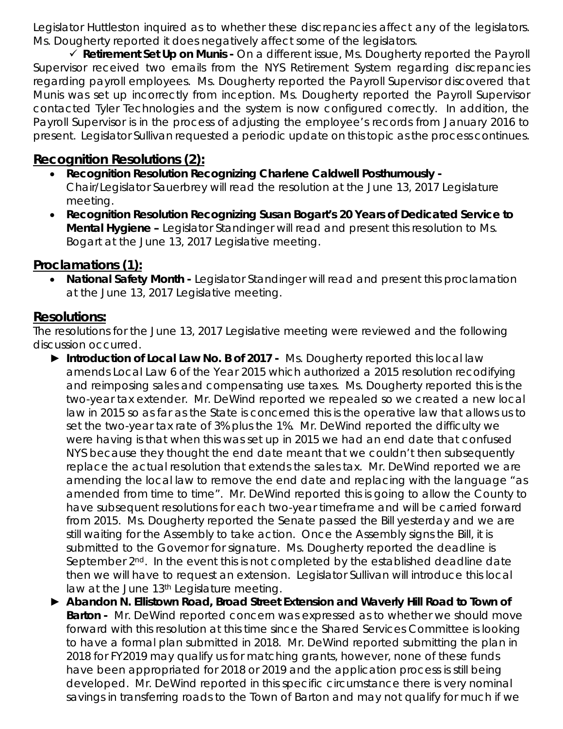Legislator Huttleston inquired as to whether these discrepancies affect any of the legislators. Ms. Dougherty reported it does negatively affect some of the legislators.

 *Retirement Set Up on Munis -* On a different issue, Ms. Dougherty reported the Payroll Supervisor received two emails from the NYS Retirement System regarding discrepancies regarding payroll employees. Ms. Dougherty reported the Payroll Supervisor discovered that Munis was set up incorrectly from inception. Ms. Dougherty reported the Payroll Supervisor contacted Tyler Technologies and the system is now configured correctly. In addition, the Payroll Supervisor is in the process of adjusting the employee's records from January 2016 to present. Legislator Sullivan requested a periodic update on this topic as the process continues.

## **Recognition Resolutions (2):**

- *Recognition Resolution Recognizing Charlene Caldwell Posthumously*  Chair/Legislator Sauerbrey will read the resolution at the June 13, 2017 Legislature meeting.
- *Recognition Resolution Recognizing Susan Bogart's 20 Years of Dedicated Service to Mental Hygiene –* Legislator Standinger will read and present this resolution to Ms. Bogart at the June 13, 2017 Legislative meeting.

## **Proclamations (1):**

• *National Safety Month -* Legislator Standinger will read and present this proclamation at the June 13, 2017 Legislative meeting.

## **Resolutions:**

The resolutions for the June 13, 2017 Legislative meeting were reviewed and the following discussion occurred.

- ► *Introduction of Local Law No. B of 2017 -* Ms. Dougherty reported this local law amends Local Law 6 of the Year 2015 which authorized a 2015 resolution recodifying and reimposing sales and compensating use taxes. Ms. Dougherty reported this is the two-year tax extender. Mr. DeWind reported we repealed so we created a new local law in 2015 so as far as the State is concerned this is the operative law that allows us to set the two-year tax rate of 3% plus the 1%. Mr. DeWind reported the difficulty we were having is that when this was set up in 2015 we had an end date that confused NYS because they thought the end date meant that we couldn't then subsequently replace the actual resolution that extends the sales tax. Mr. DeWind reported we are amending the local law to remove the end date and replacing with the language "as amended from time to time". Mr. DeWind reported this is going to allow the County to have subsequent resolutions for each two-year timeframe and will be carried forward from 2015. Ms. Dougherty reported the Senate passed the Bill yesterday and we are still waiting for the Assembly to take action. Once the Assembly signs the Bill, it is submitted to the Governor for signature. Ms. Dougherty reported the deadline is September 2<sup>nd</sup>. In the event this is not completed by the established deadline date then we will have to request an extension. Legislator Sullivan will introduce this local law at the June 13<sup>th</sup> Legislature meeting.
- ► *Abandon N. Ellistown Road, Broad Street Extension and Waverly Hill Road to Town of Barton -* Mr. DeWind reported concern was expressed as to whether we should move forward with this resolution at this time since the Shared Services Committee is looking to have a formal plan submitted in 2018. Mr. DeWind reported submitting the plan in 2018 for FY2019 may qualify us for matching grants, however, none of these funds have been appropriated for 2018 or 2019 and the application process is still being developed. Mr. DeWind reported in this specific circumstance there is very nominal savings in transferring roads to the Town of Barton and may not qualify for much if we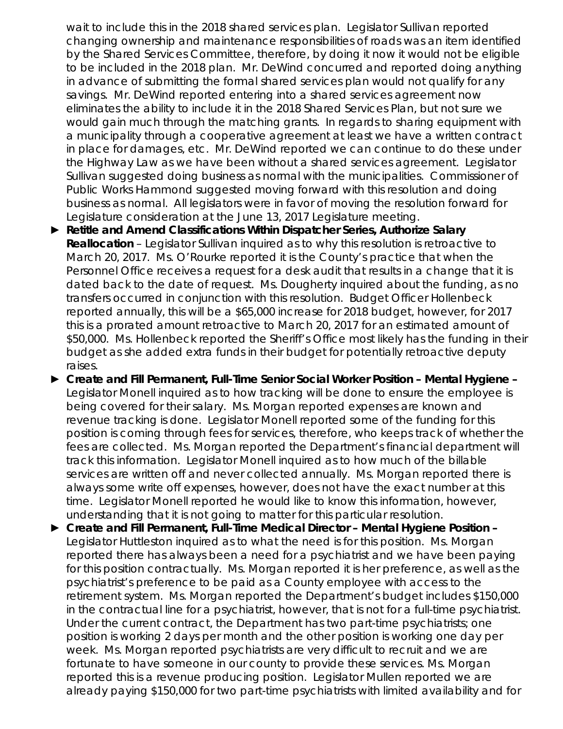wait to include this in the 2018 shared services plan. Legislator Sullivan reported changing ownership and maintenance responsibilities of roads was an item identified by the Shared Services Committee, therefore, by doing it now it would not be eligible to be included in the 2018 plan. Mr. DeWind concurred and reported doing anything in advance of submitting the formal shared services plan would not qualify for any savings. Mr. DeWind reported entering into a shared services agreement now eliminates the ability to include it in the 2018 Shared Services Plan, but not sure we would gain much through the matching grants. In regards to sharing equipment with a municipality through a cooperative agreement at least we have a written contract in place for damages, etc. Mr. DeWind reported we can continue to do these under the Highway Law as we have been without a shared services agreement. Legislator Sullivan suggested doing business as normal with the municipalities. Commissioner of Public Works Hammond suggested moving forward with this resolution and doing business as normal. All legislators were in favor of moving the resolution forward for Legislature consideration at the June 13, 2017 Legislature meeting.

- ► *Retitle and Amend Classifications Within Dispatcher Series, Authorize Salary*  **Reallocation** – Legislator Sullivan inquired as to why this resolution is retroactive to March 20, 2017. Ms. O'Rourke reported it is the County's practice that when the Personnel Office receives a request for a desk audit that results in a change that it is dated back to the date of request. Ms. Dougherty inquired about the funding, as no transfers occurred in conjunction with this resolution. Budget Officer Hollenbeck reported annually, this will be a \$65,000 increase for 2018 budget, however, for 2017 this is a prorated amount retroactive to March 20, 2017 for an estimated amount of \$50,000. Ms. Hollenbeck reported the Sheriff's Office most likely has the funding in their budget as she added extra funds in their budget for potentially retroactive deputy raises.
- ► *Create and Fill Permanent, Full-Time Senior Social Worker Position – Mental Hygiene –* Legislator Monell inquired as to how tracking will be done to ensure the employee is being covered for their salary. Ms. Morgan reported expenses are known and revenue tracking is done. Legislator Monell reported some of the funding for this position is coming through fees for services, therefore, who keeps track of whether the fees are collected. Ms. Morgan reported the Department's financial department will track this information. Legislator Monell inquired as to how much of the billable services are written off and never collected annually. Ms. Morgan reported there is always some write off expenses, however, does not have the exact number at this time. Legislator Monell reported he would like to know this information, however, understanding that it is not going to matter for this particular resolution.
- ► *Create and Fill Permanent, Full-Time Medical Director – Mental Hygiene Position –* Legislator Huttleston inquired as to what the need is for this position. Ms. Morgan reported there has always been a need for a psychiatrist and we have been paying for this position contractually. Ms. Morgan reported it is her preference, as well as the psychiatrist's preference to be paid as a County employee with access to the retirement system. Ms. Morgan reported the Department's budget includes \$150,000 in the contractual line for a psychiatrist, however, that is not for a full-time psychiatrist. Under the current contract, the Department has two part-time psychiatrists; one position is working 2 days per month and the other position is working one day per week. Ms. Morgan reported psychiatrists are very difficult to recruit and we are fortunate to have someone in our county to provide these services. Ms. Morgan reported this is a revenue producing position. Legislator Mullen reported we are already paying \$150,000 for two part-time psychiatrists with limited availability and for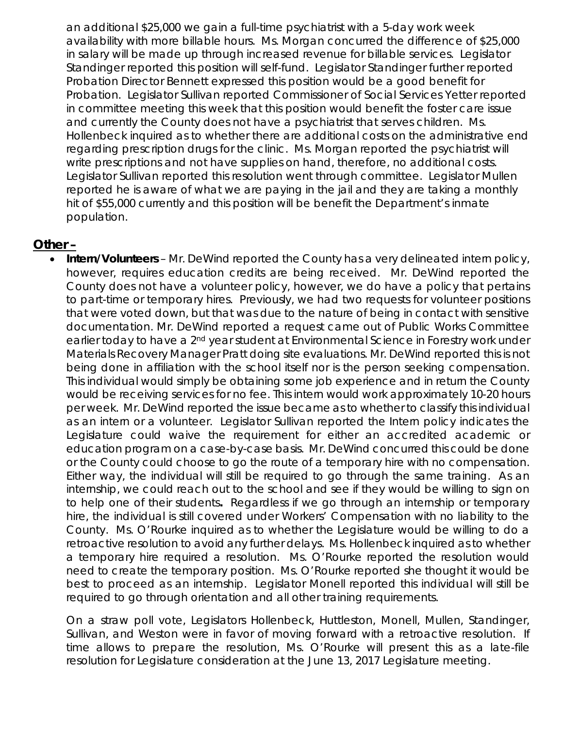an additional \$25,000 we gain a full-time psychiatrist with a 5-day work week availability with more billable hours. Ms. Morgan concurred the difference of \$25,000 in salary will be made up through increased revenue for billable services. Legislator Standinger reported this position will self-fund. Legislator Standinger further reported Probation Director Bennett expressed this position would be a good benefit for Probation. Legislator Sullivan reported Commissioner of Social Services Yetter reported in committee meeting this week that this position would benefit the foster care issue and currently the County does not have a psychiatrist that serves children. Ms. Hollenbeck inquired as to whether there are additional costs on the administrative end regarding prescription drugs for the clinic. Ms. Morgan reported the psychiatrist will write prescriptions and not have supplies on hand, therefore, no additional costs. Legislator Sullivan reported this resolution went through committee. Legislator Mullen reported he is aware of what we are paying in the jail and they are taking a monthly hit of \$55,000 currently and this position will be benefit the Department's inmate population.

#### **Other –**

• *Intern/Volunteers* – Mr. DeWind reported the County has a very delineated intern policy, however, requires education credits are being received. Mr. DeWind reported the County does not have a volunteer policy, however, we do have a policy that pertains to part-time or temporary hires. Previously, we had two requests for volunteer positions that were voted down, but that was due to the nature of being in contact with sensitive documentation. Mr. DeWind reported a request came out of Public Works Committee earlier today to have a 2nd year student at Environmental Science in Forestry work under Materials Recovery Manager Pratt doing site evaluations. Mr. DeWind reported this is not being done in affiliation with the school itself nor is the person seeking compensation. This individual would simply be obtaining some job experience and in return the County would be receiving services for no fee. This intern would work approximately 10-20 hours per week. Mr. DeWind reported the issue became as to whether to classify this individual as an intern or a volunteer. Legislator Sullivan reported the Intern policy indicates the Legislature could waive the requirement for either an accredited academic or education program on a case-by-case basis. Mr. DeWind concurred this could be done or the County could choose to go the route of a temporary hire with no compensation. Either way, the individual will still be required to go through the same training. As an internship, we could reach out to the school and see if they would be willing to sign on to help one of their students*.* Regardless if we go through an internship or temporary hire, the individual is still covered under Workers' Compensation with no liability to the County. Ms. O'Rourke inquired as to whether the Legislature would be willing to do a retroactive resolution to avoid any further delays. Ms. Hollenbeck inquired as to whether a temporary hire required a resolution. Ms. O'Rourke reported the resolution would need to create the temporary position. Ms. O'Rourke reported she thought it would be best to proceed as an internship. Legislator Monell reported this individual will still be required to go through orientation and all other training requirements.

On a straw poll vote, Legislators Hollenbeck, Huttleston, Monell, Mullen, Standinger, Sullivan, and Weston were in favor of moving forward with a retroactive resolution. If time allows to prepare the resolution, Ms. O'Rourke will present this as a late-file resolution for Legislature consideration at the June 13, 2017 Legislature meeting.